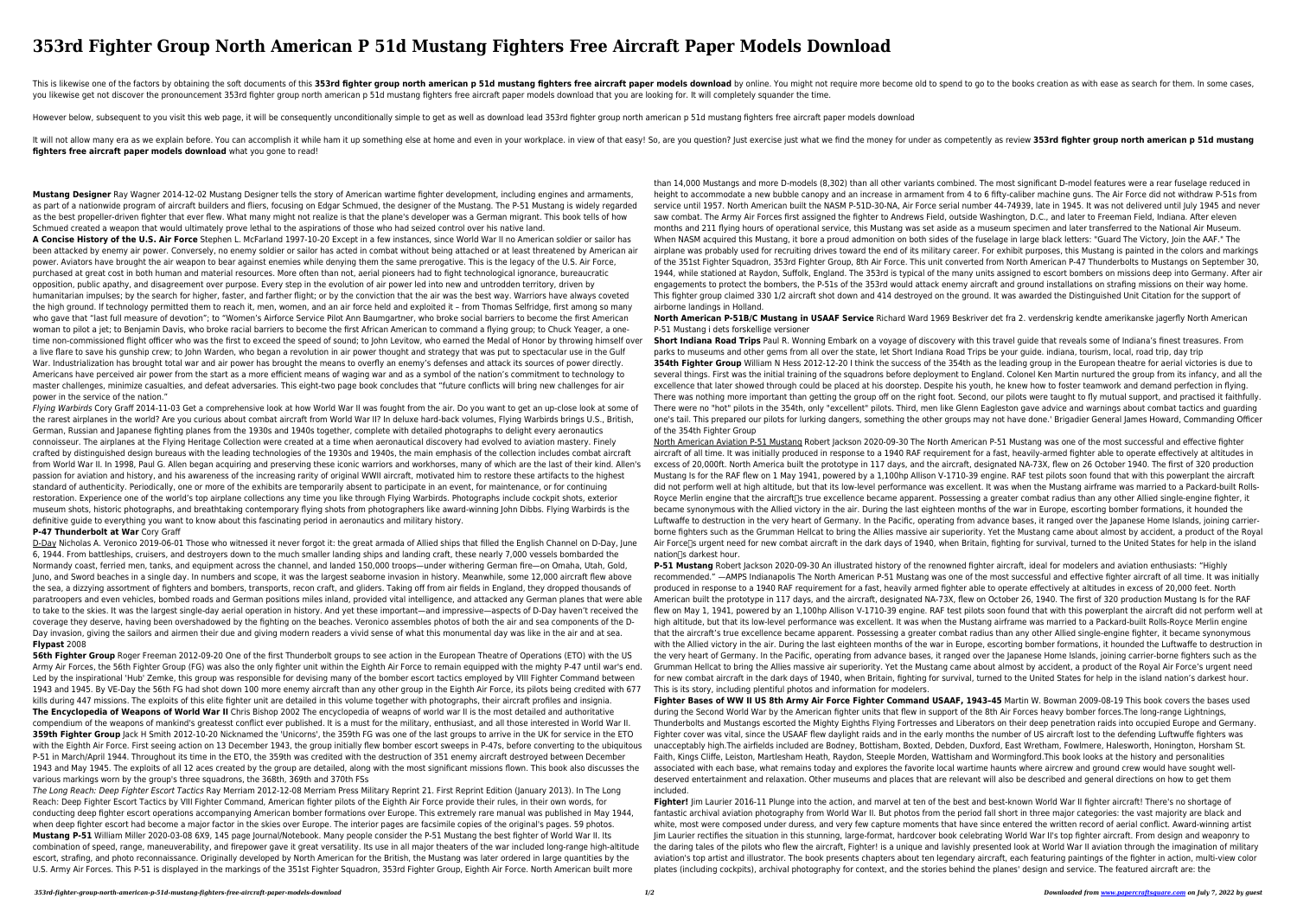# **353rd Fighter Group North American P 51d Mustang Fighters Free Aircraft Paper Models Download**

This is likewise one of the factors by obtaining the soft documents of this 353rd fighter group north american p 51d mustang fighters free aircraft paper models download by online. You might not require more become old to you likewise get not discover the pronouncement 353rd fighter group north american p 51d mustang fighters free aircraft paper models download that you are looking for. It will completely squander the time.

However below, subsequent to you visit this web page, it will be consequently unconditionally simple to get as well as download lead 353rd fighter group north american p 51d mustang fighters free aircraft paper models down

It will not allow many era as we explain before. You can accomplish it while ham it up something else at home and even in your workplace. in view of that easy! So, are you question? Just exercise just what we find the mone **fighters free aircraft paper models download** what you gone to read!

**Mustang Designer** Ray Wagner 2014-12-02 Mustang Designer tells the story of American wartime fighter development, including engines and armaments, as part of a nationwide program of aircraft builders and fliers, focusing on Edgar Schmued, the designer of the Mustang. The P-51 Mustang is widely regarded as the best propeller-driven fighter that ever flew. What many might not realize is that the plane's developer was a German migrant. This book tells of how Schmued created a weapon that would ultimately prove lethal to the aspirations of those who had seized control over his native land.

Flying Warbirds Cory Graff 2014-11-03 Get a comprehensive look at how World War II was fought from the air. Do you want to get an up-close look at some of the rarest airplanes in the world? Are you curious about combat aircraft from World War II? In deluxe hard-back volumes, Flying Warbirds brings U.S., British, German, Russian and Japanese fighting planes from the 1930s and 1940s together, complete with detailed photographs to delight every aeronautics connoisseur. The airplanes at the Flying Heritage Collection were created at a time when aeronautical discovery had evolved to aviation mastery. Finely crafted by distinguished design bureaus with the leading technologies of the 1930s and 1940s, the main emphasis of the collection includes combat aircraft from World War II. In 1998, Paul G. Allen began acquiring and preserving these iconic warriors and workhorses, many of which are the last of their kind. Allen's passion for aviation and history, and his awareness of the increasing rarity of original WWII aircraft, motivated him to restore these artifacts to the highest standard of authenticity. Periodically, one or more of the exhibits are temporarily absent to participate in an event, for maintenance, or for continuing restoration. Experience one of the world's top airplane collections any time you like through Flying Warbirds. Photographs include cockpit shots, exterior museum shots, historic photographs, and breathtaking contemporary flying shots from photographers like award-winning John Dibbs. Flying Warbirds is the definitive guide to everything you want to know about this fascinating period in aeronautics and military history.

**A Concise History of the U.S. Air Force** Stephen L. McFarland 1997-10-20 Except in a few instances, since World War II no American soldier or sailor has been attacked by enemy air power. Conversely, no enemy soldier or sailor has acted in combat without being attached or at least threatened by American air power. Aviators have brought the air weapon to bear against enemies while denying them the same prerogative. This is the legacy of the U.S. Air Force, purchased at great cost in both human and material resources. More often than not, aerial pioneers had to fight technological ignorance, bureaucratic opposition, public apathy, and disagreement over purpose. Every step in the evolution of air power led into new and untrodden territory, driven by humanitarian impulses; by the search for higher, faster, and farther flight; or by the conviction that the air was the best way. Warriors have always coveted the high ground. If technology permitted them to reach it, men, women, and an air force held and exploited it – from Thomas Selfridge, first among so many who gave that "last full measure of devotion"; to "Women's Airforce Service Pilot Ann Baumgartner, who broke social barriers to become the first American woman to pilot a jet; to Benjamin Davis, who broke racial barriers to become the first African American to command a flying group; to Chuck Yeager, a onetime non-commissioned flight officer who was the first to exceed the speed of sound; to John Levitow, who earned the Medal of Honor by throwing himself over a live flare to save his gunship crew; to John Warden, who began a revolution in air power thought and strategy that was put to spectacular use in the Gulf War. Industrialization has brought total war and air power has brought the means to overfly an enemy's defenses and attack its sources of power directly. Americans have perceived air power from the start as a more efficient means of waging war and as a symbol of the nation's commitment to technology to master challenges, minimize casualties, and defeat adversaries. This eight-two page book concludes that "future conflicts will bring new challenges for air power in the service of the nation."

D-Day Nicholas A. Veronico 2019-06-01 Those who witnessed it never forgot it: the great armada of Allied ships that filled the English Channel on D-Day, June 6, 1944. From battleships, cruisers, and destroyers down to the much smaller landing ships and landing craft, these nearly 7,000 vessels bombarded the Normandy coast, ferried men, tanks, and equipment across the channel, and landed 150,000 troops—under withering German fire—on Omaha, Utah, Gold, Juno, and Sword beaches in a single day. In numbers and scope, it was the largest seaborne invasion in history. Meanwhile, some 12,000 aircraft flew above the sea, a dizzying assortment of fighters and bombers, transports, recon craft, and gliders. Taking off from air fields in England, they dropped thousands of paratroopers and even vehicles, bombed roads and German positions miles inland, provided vital intelligence, and attacked any German planes that were able to take to the skies. It was the largest single-day aerial operation in history. And yet these important—and impressive—aspects of D-Day haven't received the coverage they deserve, having been overshadowed by the fighting on the beaches. Veronico assembles photos of both the air and sea components of the D-Day invasion, giving the sailors and airmen their due and giving modern readers a vivid sense of what this monumental day was like in the air and at sea. **Flypast** 2008

**56th Fighter Group** Roger Freeman 2012-09-20 One of the first Thunderbolt groups to see action in the European Theatre of Operations (ETO) with the US Army Air Forces, the 56th Fighter Group (FG) was also the only fighter unit within the Eighth Air Force to remain equipped with the mighty P-47 until war's end. Led by the inspirational 'Hub' Zemke, this group was responsible for devising many of the bomber escort tactics employed by VIII Fighter Command between 1943 and 1945. By VE-Day the 56th FG had shot down 100 more enemy aircraft than any other group in the Eighth Air Force, its pilots being credited with 677 kills during 447 missions. The exploits of this elite fighter unit are detailed in this volume together with photographs, their aircraft profiles and insignia. **The Encyclopedia of Weapons of World War II** Chris Bishop 2002 The encyclopedia of weapns of world war II is the most detailed and authoritative compendium of the weapons of mankind's greatesst conflict ever published. It is a must for the military, enthusiast, and all those interested in World War II. **359th Fighter Group** Jack H Smith 2012-10-20 Nicknamed the 'Unicorns', the 359th FG was one of the last groups to arrive in the UK for service in the ETO with the Eighth Air Force. First seeing action on 13 December 1943, the group initially flew bomber escort sweeps in P-47s, before converting to the ubiquitous P-51 in March/April 1944. Throughout its time in the ETO, the 359th was credited with the destruction of 351 enemy aircraft destroyed between December 1943 and May 1945. The exploits of all 12 aces created by the group are detailed, along with the most significant missions flown. This book also discusses the various markings worn by the group's three squadrons, the 368th, 369th and 370th FSs

#### **P-47 Thunderbolt at War** Cory Graff

North American Aviation P-51 Mustang Robert Jackson 2020-09-30 The North American P-51 Mustang was one of the most successful and effective fighter aircraft of all time. It was initially produced in response to a 1940 RAF requirement for a fast, heavily-armed fighter able to operate effectively at altitudes in excess of 20,000ft. North America built the prototype in 117 days, and the aircraft, designated NA-73X, flew on 26 October 1940. The first of 320 production Mustang Is for the RAF flew on 1 May 1941, powered by a 1,100hp Allison V-1710-39 engine. RAF test pilots soon found that with this powerplant the aircraft did not perform well at high altitude, but that its low-level performance was excellent. It was when the Mustang airframe was married to a Packard-built Rolls-Royce Merlin engine that the aircraft<sup>'</sup>s true excellence became apparent. Possessing a greater combat radius than any other Allied single-engine fighter, it became synonymous with the Allied victory in the air. During the last eighteen months of the war in Europe, escorting bomber formations, it hounded the Luftwaffe to destruction in the very heart of Germany. In the Pacific, operating from advance bases, it ranged over the Japanese Home Islands, joining carrierborne fighters such as the Grumman Hellcat to bring the Allies massive air superiority. Yet the Mustang came about almost by accident, a product of the Royal Air Force<sup>n</sup>s urgent need for new combat aircraft in the dark days of 1940, when Britain, fighting for survival, turned to the United States for help in the island nation<sup>[</sup>s darkest hour.

The Long Reach: Deep Fighter Escort Tactics Ray Merriam 2012-12-08 Merriam Press Military Reprint 21. First Reprint Edition (January 2013). In The Long Reach: Deep Fighter Escort Tactics by VIII Fighter Command, American fighter pilots of the Eighth Air Force provide their rules, in their own words, for conducting deep fighter escort operations accompanying American bomber formations over Europe. This extremely rare manual was published in May 1944, when deep fighter escort had become a major factor in the skies over Europe. The interior pages are facsimile copies of the original's pages. 59 photos. **Mustang P-51** William Miller 2020-03-08 6X9, 145 page Journal/Notebook. Many people consider the P-51 Mustang the best fighter of World War II. Its combination of speed, range, maneuverability, and firepower gave it great versatility. Its use in all major theaters of the war included long-range high-altitude escort, strafing, and photo reconnaissance. Originally developed by North American for the British, the Mustang was later ordered in large quantities by the U.S. Army Air Forces. This P-51 is displayed in the markings of the 351st Fighter Squadron, 353rd Fighter Group, Eighth Air Force. North American built more

than 14,000 Mustangs and more D-models (8,302) than all other variants combined. The most significant D-model features were a rear fuselage reduced in height to accommodate a new bubble canopy and an increase in armament from 4 to 6 fifty-caliber machine guns. The Air Force did not withdraw P-51s from service until 1957. North American built the NASM P-51D-30-NA, Air Force serial number 44-74939, late in 1945. It was not delivered until July 1945 and never saw combat. The Army Air Forces first assigned the fighter to Andrews Field, outside Washington, D.C., and later to Freeman Field, Indiana. After eleven months and 211 flying hours of operational service, this Mustang was set aside as a museum specimen and later transferred to the National Air Museum. When NASM acquired this Mustang, it bore a proud admonition on both sides of the fuselage in large black letters: "Guard The Victory, Join the AAF." The airplane was probably used for recruiting drives toward the end of its military career. For exhibit purposes, this Mustang is painted in the colors and markings of the 351st Fighter Squadron, 353rd Fighter Group, 8th Air Force. This unit converted from North American P-47 Thunderbolts to Mustangs on September 30, 1944, while stationed at Raydon, Suffolk, England. The 353rd is typical of the many units assigned to escort bombers on missions deep into Germany. After air engagements to protect the bombers, the P-51s of the 353rd would attack enemy aircraft and ground installations on strafing missions on their way home. This fighter group claimed 330 1/2 aircraft shot down and 414 destroyed on the ground. It was awarded the Distinguished Unit Citation for the support of airborne landings in Holland.

**North American P-51B/C Mustang in USAAF Service** Richard Ward 1969 Beskriver det fra 2. verdenskrig kendte amerikanske jagerfly North American P-51 Mustang i dets forskellige versioner

**Short Indiana Road Trips** Paul R. Wonning Embark on a voyage of discovery with this travel guide that reveals some of Indiana's finest treasures. From parks to museums and other gems from all over the state, let Short Indiana Road Trips be your guide. indiana, tourism, local, road trip, day trip **354th Fighter Group** William N Hess 2012-12-20 I think the success of the 354th as the leading group in the European theatre for aerial victories is due to several things. First was the initial training of the squadrons before deployment to England. Colonel Ken Martin nurtured the group from its infancy, and all the excellence that later showed through could be placed at his doorstep. Despite his youth, he knew how to foster teamwork and demand perfection in flying. There was nothing more important than getting the group off on the right foot. Second, our pilots were taught to fly mutual support, and practised it faithfully. There were no "hot" pilots in the 354th, only "excellent" pilots. Third, men like Glenn Eagleston gave advice and warnings about combat tactics and guarding one's tail. This prepared our pilots for lurking dangers, something the other groups may not have done.' Brigadier General James Howard, Commanding Officer of the 354th Fighter Group

**P-51 Mustang** Robert Jackson 2020-09-30 An illustrated history of the renowned fighter aircraft, ideal for modelers and aviation enthusiasts: "Highly recommended." —AMPS Indianapolis The North American P-51 Mustang was one of the most successful and effective fighter aircraft of all time. It was initially produced in response to a 1940 RAF requirement for a fast, heavily armed fighter able to operate effectively at altitudes in excess of 20,000 feet. North American built the prototype in 117 days, and the aircraft, designated NA-73X, flew on October 26, 1940. The first of 320 production Mustang Is for the RAF flew on May 1, 1941, powered by an 1,100hp Allison V-1710-39 engine. RAF test pilots soon found that with this powerplant the aircraft did not perform well at high altitude, but that its low-level performance was excellent. It was when the Mustang airframe was married to a Packard-built Rolls-Royce Merlin engine that the aircraft's true excellence became apparent. Possessing a greater combat radius than any other Allied single-engine fighter, it became synonymous with the Allied victory in the air. During the last eighteen months of the war in Europe, escorting bomber formations, it hounded the Luftwaffe to destruction in

the very heart of Germany. In the Pacific, operating from advance bases, it ranged over the Japanese Home Islands, joining carrier-borne fighters such as the Grumman Hellcat to bring the Allies massive air superiority. Yet the Mustang came about almost by accident, a product of the Royal Air Force's urgent need for new combat aircraft in the dark days of 1940, when Britain, fighting for survival, turned to the United States for help in the island nation's darkest hour. This is its story, including plentiful photos and information for modelers. **Fighter Bases of WW II US 8th Army Air Force Fighter Command USAAF, 1943–45** Martin W. Bowman 2009-08-19 This book covers the bases used during the Second World War by the American fighter units that flew in support of the 8th Air Forces heavy bomber forces.The long-range Lightnings, Thunderbolts and Mustangs escorted the Mighty Eighths Flying Fortresses and Liberators on their deep penetration raids into occupied Europe and Germany. Fighter cover was vital, since the USAAF flew daylight raids and in the early months the number of US aircraft lost to the defending Luftwuffe fighters was unacceptably high.The airfields included are Bodney, Bottisham, Boxted, Debden, Duxford, East Wretham, Fowlmere, Halesworth, Honington, Horsham St. Faith, Kings Cliffe, Leiston, Martlesham Heath, Raydon, Steeple Morden, Wattisham and Wormingford.This book looks at the history and personalities associated with each base, what remains today and explores the favorite local wartime haunts where aircrew and ground crew would have sought welldeserved entertainment and relaxation. Other museums and places that are relevant will also be described and general directions on how to get them included. **Fighter!** Jim Laurier 2016-11 Plunge into the action, and marvel at ten of the best and best-known World War II fighter aircraft! There's no shortage of fantastic archival aviation photography from World War II. But photos from the period fall short in three major categories: the vast majority are black and white, most were composed under duress, and very few capture moments that have since entered the written record of aerial conflict. Award-winning artist Jim Laurier rectifies the situation in this stunning, large-format, hardcover book celebrating World War II's top fighter aircraft. From design and weaponry to the daring tales of the pilots who flew the aircraft, Fighter! is a unique and lavishly presented look at World War II aviation through the imagination of military aviation's top artist and illustrator. The book presents chapters about ten legendary aircraft, each featuring paintings of the fighter in action, multi-view color plates (including cockpits), archival photography for context, and the stories behind the planes' design and service. The featured aircraft are: the